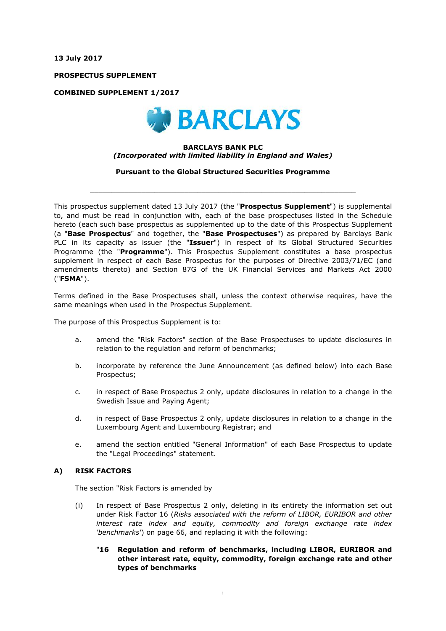**13 July 2017**

**PROSPECTUS SUPPLEMENT**

**COMBINED SUPPLEMENT 1/2017**



#### **BARCLAYS BANK PLC** *(Incorporated with limited liability in England and Wales)*

**Pursuant to the Global Structured Securities Programme**

 $\_$  ,  $\_$  ,  $\_$  ,  $\_$  ,  $\_$  ,  $\_$  ,  $\_$  ,  $\_$  ,  $\_$  ,  $\_$  ,  $\_$  ,  $\_$  ,  $\_$  ,  $\_$  ,  $\_$  ,  $\_$  ,  $\_$  ,  $\_$  ,  $\_$  ,  $\_$  ,  $\_$  ,  $\_$  ,  $\_$  ,  $\_$  ,  $\_$  ,  $\_$  ,  $\_$  ,  $\_$  ,  $\_$  ,  $\_$  ,  $\_$  ,  $\_$  ,  $\_$  ,  $\_$  ,  $\_$  ,  $\_$  ,  $\_$  ,

This prospectus supplement dated 13 July 2017 (the "**Prospectus Supplement**") is supplemental to, and must be read in conjunction with, each of the base prospectuses listed in the Schedule hereto (each such base prospectus as supplemented up to the date of this Prospectus Supplement (a "**Base Prospectus**" and together, the "**Base Prospectuses**") as prepared by Barclays Bank PLC in its capacity as issuer (the "**Issuer**") in respect of its Global Structured Securities Programme (the "**Programme**"). This Prospectus Supplement constitutes a base prospectus supplement in respect of each Base Prospectus for the purposes of Directive 2003/71/EC (and amendments thereto) and Section 87G of the UK Financial Services and Markets Act 2000 ("**FSMA**").

Terms defined in the Base Prospectuses shall, unless the context otherwise requires, have the same meanings when used in the Prospectus Supplement.

The purpose of this Prospectus Supplement is to:

- a. amend the "Risk Factors" section of the Base Prospectuses to update disclosures in relation to the regulation and reform of benchmarks;
- b. incorporate by reference the June Announcement (as defined below) into each Base Prospectus;
- c. in respect of Base Prospectus 2 only, update disclosures in relation to a change in the Swedish Issue and Paying Agent;
- d. in respect of Base Prospectus 2 only, update disclosures in relation to a change in the Luxembourg Agent and Luxembourg Registrar; and
- e. amend the section entitled "General Information" of each Base Prospectus to update the "Legal Proceedings" statement.

## **A) RISK FACTORS**

The section "Risk Factors is amended by

- (i) In respect of Base Prospectus 2 only, deleting in its entirety the information set out under Risk Factor 16 (*Risks associated with the reform of LIBOR, EURIBOR and other interest rate index and equity, commodity and foreign exchange rate index 'benchmarks'*) on page 66, and replacing it with the following:
	- "**16 Regulation and reform of benchmarks, including LIBOR, EURIBOR and other interest rate, equity, commodity, foreign exchange rate and other types of benchmarks**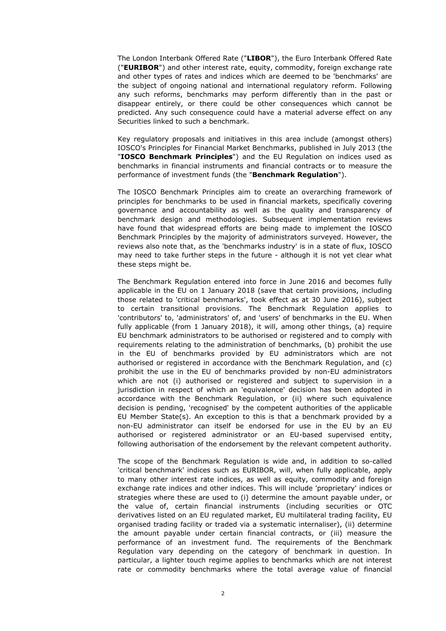The London Interbank Offered Rate ("**LIBOR**"), the Euro Interbank Offered Rate ("**EURIBOR**") and other interest rate, equity, commodity, foreign exchange rate and other types of rates and indices which are deemed to be 'benchmarks' are the subject of ongoing national and international regulatory reform. Following any such reforms, benchmarks may perform differently than in the past or disappear entirely, or there could be other consequences which cannot be predicted. Any such consequence could have a material adverse effect on any Securities linked to such a benchmark.

Key regulatory proposals and initiatives in this area include (amongst others) IOSCO's Principles for Financial Market Benchmarks, published in July 2013 (the "**IOSCO Benchmark Principles**") and the EU Regulation on indices used as benchmarks in financial instruments and financial contracts or to measure the performance of investment funds (the "**Benchmark Regulation**").

The IOSCO Benchmark Principles aim to create an overarching framework of principles for benchmarks to be used in financial markets, specifically covering governance and accountability as well as the quality and transparency of benchmark design and methodologies. Subsequent implementation reviews have found that widespread efforts are being made to implement the IOSCO Benchmark Principles by the majority of administrators surveyed. However, the reviews also note that, as the 'benchmarks industry' is in a state of flux, IOSCO may need to take further steps in the future - although it is not yet clear what these steps might be.

The Benchmark Regulation entered into force in June 2016 and becomes fully applicable in the EU on 1 January 2018 (save that certain provisions, including those related to 'critical benchmarks', took effect as at 30 June 2016), subject to certain transitional provisions. The Benchmark Regulation applies to 'contributors' to, 'administrators' of, and 'users' of benchmarks in the EU. When fully applicable (from 1 January 2018), it will, among other things, (a) require EU benchmark administrators to be authorised or registered and to comply with requirements relating to the administration of benchmarks, (b) prohibit the use in the EU of benchmarks provided by EU administrators which are not authorised or registered in accordance with the Benchmark Regulation, and (c) prohibit the use in the EU of benchmarks provided by non-EU administrators which are not (i) authorised or registered and subject to supervision in a jurisdiction in respect of which an 'equivalence' decision has been adopted in accordance with the Benchmark Regulation, or (ii) where such equivalence decision is pending, 'recognised' by the competent authorities of the applicable EU Member State(s). An exception to this is that a benchmark provided by a non-EU administrator can itself be endorsed for use in the EU by an EU authorised or registered administrator or an EU-based supervised entity, following authorisation of the endorsement by the relevant competent authority.

The scope of the Benchmark Regulation is wide and, in addition to so-called 'critical benchmark' indices such as EURIBOR, will, when fully applicable, apply to many other interest rate indices, as well as equity, commodity and foreign exchange rate indices and other indices. This will include 'proprietary' indices or strategies where these are used to (i) determine the amount payable under, or the value of, certain financial instruments (including securities or OTC derivatives listed on an EU regulated market, EU multilateral trading facility, EU organised trading facility or traded via a systematic internaliser), (ii) determine the amount payable under certain financial contracts, or (iii) measure the performance of an investment fund. The requirements of the Benchmark Regulation vary depending on the category of benchmark in question. In particular, a lighter touch regime applies to benchmarks which are not interest rate or commodity benchmarks where the total average value of financial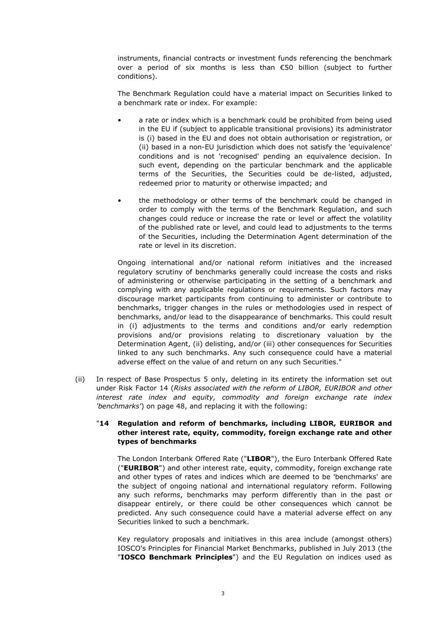instruments, financial contracts or investment funds referencing the benchmark over a period of six months is less than €50 billion (subject to further conditions).

The Benchmark Regulation could have a material impact on Securities linked to a benchmark rate or index. For example:

- a rate or index which is a benchmark could be prohibited from being used in the EU if (subject to applicable transitional provisions) its administrator is (i) based in the EU and does not obtain authorisation or registration, or (ii) based in a non-EU jurisdiction which does not satisfy the 'equivalence' conditions and is not 'recognised' pending an equivalence decision. In such event, depending on the particular benchmark and the applicable terms of the Securities, the Securities could be de-listed, adjusted, redeemed prior to maturity or otherwise impacted; and
- the methodology or other terms of the benchmark could be changed in order to comply with the terms of the Benchmark Regulation, and such changes could reduce or increase the rate or level or affect the volatility of the published rate or level, and could lead to adjustments to the terms of the Securities, including the Determination Agent determination of the rate or level in its discretion.

Ongoing international and/or national reform initiatives and the increased regulatory scrutiny of benchmarks generally could increase the costs and risks of administering or otherwise participating in the setting of a benchmark and complying with any applicable regulations or requirements. Such factors may discourage market participants from continuing to administer or contribute to benchmarks, trigger changes in the rules or methodologies used in respect of benchmarks, and/or lead to the disappearance of benchmarks. This could result in (i) adjustments to the terms and conditions and/or early redemption provisions and/or provisions relating to discretionary valuation by the Determination Agent, (ii) delisting, and/or (iii) other consequences for Securities linked to any such benchmarks. Any such consequence could have a material adverse effect on the value of and return on any such Securities."

(ii) In respect of Base Prospectus 5 only, deleting in its entirety the information set out under Risk Factor 14 (*Risks associated with the reform of LIBOR, EURIBOR and other interest rate index and equity, commodity and foreign exchange rate index 'benchmarks'*) on page 48, and replacing it with the following:

## "**14 Regulation and reform of benchmarks, including LIBOR, EURIBOR and other interest rate, equity, commodity, foreign exchange rate and other types of benchmarks**

The London Interbank Offered Rate ("**LIBOR**"), the Euro Interbank Offered Rate ("**EURIBOR**") and other interest rate, equity, commodity, foreign exchange rate and other types of rates and indices which are deemed to be 'benchmarks' are the subject of ongoing national and international regulatory reform. Following any such reforms, benchmarks may perform differently than in the past or disappear entirely, or there could be other consequences which cannot be predicted. Any such consequence could have a material adverse effect on any Securities linked to such a benchmark.

Key regulatory proposals and initiatives in this area include (amongst others) IOSCO's Principles for Financial Market Benchmarks, published in July 2013 (the "**IOSCO Benchmark Principles**") and the EU Regulation on indices used as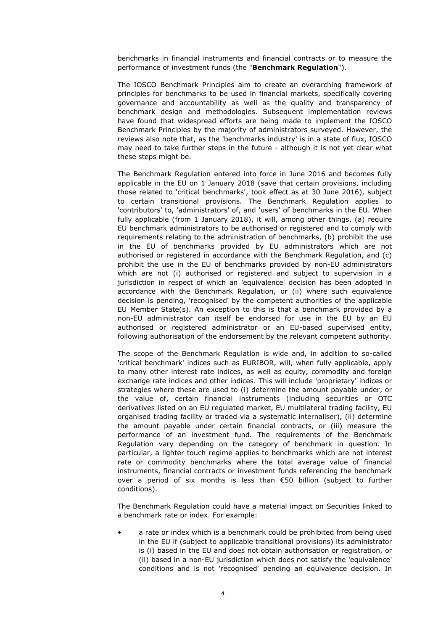benchmarks in financial instruments and financial contracts or to measure the performance of investment funds (the "**Benchmark Regulation**").

The IOSCO Benchmark Principles aim to create an overarching framework of principles for benchmarks to be used in financial markets, specifically covering governance and accountability as well as the quality and transparency of benchmark design and methodologies. Subsequent implementation reviews have found that widespread efforts are being made to implement the IOSCO Benchmark Principles by the majority of administrators surveyed. However, the reviews also note that, as the 'benchmarks industry' is in a state of flux, IOSCO may need to take further steps in the future - although it is not yet clear what these steps might be.

The Benchmark Regulation entered into force in June 2016 and becomes fully applicable in the EU on 1 January 2018 (save that certain provisions, including those related to 'critical benchmarks', took effect as at 30 June 2016), subject to certain transitional provisions. The Benchmark Regulation applies to 'contributors' to, 'administrators' of, and 'users' of benchmarks in the EU. When fully applicable (from 1 January 2018), it will, among other things, (a) require EU benchmark administrators to be authorised or registered and to comply with requirements relating to the administration of benchmarks, (b) prohibit the use in the EU of benchmarks provided by EU administrators which are not authorised or registered in accordance with the Benchmark Regulation, and (c) prohibit the use in the EU of benchmarks provided by non-EU administrators which are not (i) authorised or registered and subject to supervision in a jurisdiction in respect of which an 'equivalence' decision has been adopted in accordance with the Benchmark Regulation, or (ii) where such equivalence decision is pending, 'recognised' by the competent authorities of the applicable EU Member State(s). An exception to this is that a benchmark provided by a non-EU administrator can itself be endorsed for use in the EU by an EU authorised or registered administrator or an EU-based supervised entity, following authorisation of the endorsement by the relevant competent authority.

The scope of the Benchmark Regulation is wide and, in addition to so-called 'critical benchmark' indices such as EURIBOR, will, when fully applicable, apply to many other interest rate indices, as well as equity, commodity and foreign exchange rate indices and other indices. This will include 'proprietary' indices or strategies where these are used to (i) determine the amount payable under, or the value of, certain financial instruments (including securities or OTC derivatives listed on an EU regulated market, EU multilateral trading facility, EU organised trading facility or traded via a systematic internaliser), (ii) determine the amount payable under certain financial contracts, or (iii) measure the performance of an investment fund. The requirements of the Benchmark Regulation vary depending on the category of benchmark in question. In particular, a lighter touch regime applies to benchmarks which are not interest rate or commodity benchmarks where the total average value of financial instruments, financial contracts or investment funds referencing the benchmark over a period of six months is less than €50 billion (subject to further conditions).

The Benchmark Regulation could have a material impact on Securities linked to a benchmark rate or index. For example:

• a rate or index which is a benchmark could be prohibited from being used in the EU if (subject to applicable transitional provisions) its administrator is (i) based in the EU and does not obtain authorisation or registration, or (ii) based in a non-EU jurisdiction which does not satisfy the 'equivalence' conditions and is not 'recognised' pending an equivalence decision. In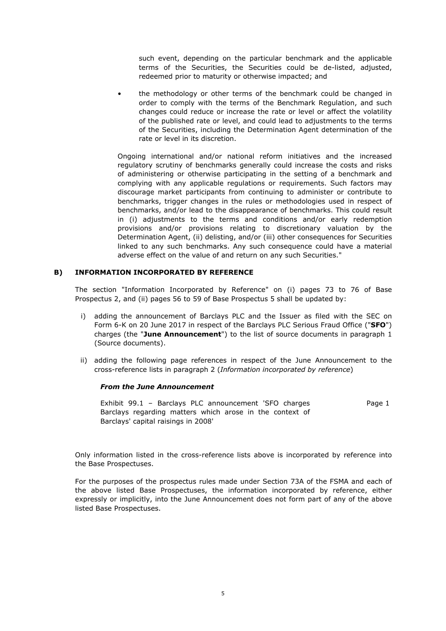such event, depending on the particular benchmark and the applicable terms of the Securities, the Securities could be de-listed, adjusted, redeemed prior to maturity or otherwise impacted; and

• the methodology or other terms of the benchmark could be changed in order to comply with the terms of the Benchmark Regulation, and such changes could reduce or increase the rate or level or affect the volatility of the published rate or level, and could lead to adjustments to the terms of the Securities, including the Determination Agent determination of the rate or level in its discretion.

Ongoing international and/or national reform initiatives and the increased regulatory scrutiny of benchmarks generally could increase the costs and risks of administering or otherwise participating in the setting of a benchmark and complying with any applicable regulations or requirements. Such factors may discourage market participants from continuing to administer or contribute to benchmarks, trigger changes in the rules or methodologies used in respect of benchmarks, and/or lead to the disappearance of benchmarks. This could result in (i) adjustments to the terms and conditions and/or early redemption provisions and/or provisions relating to discretionary valuation by the Determination Agent, (ii) delisting, and/or (iii) other consequences for Securities linked to any such benchmarks. Any such consequence could have a material adverse effect on the value of and return on any such Securities."

## **B) INFORMATION INCORPORATED BY REFERENCE**

The section "Information Incorporated by Reference" on (i) pages 73 to 76 of Base Prospectus 2, and (ii) pages 56 to 59 of Base Prospectus 5 shall be updated by:

- i) adding the announcement of Barclays PLC and the Issuer as filed with the SEC on Form 6-K on 20 June 2017 in respect of the Barclays PLC Serious Fraud Office ("**SFO**") charges (the "**June Announcement**") to the list of source documents in paragraph 1 (Source documents).
- ii) adding the following page references in respect of the June Announcement to the cross-reference lists in paragraph 2 (*Information incorporated by reference*)

## *From the June Announcement*

Exhibit 99.1 – Barclays PLC announcement 'SFO charges Barclays regarding matters which arose in the context of Barclays' capital raisings in 2008' Page 1

Only information listed in the cross-reference lists above is incorporated by reference into the Base Prospectuses.

For the purposes of the prospectus rules made under Section 73A of the FSMA and each of the above listed Base Prospectuses, the information incorporated by reference, either expressly or implicitly, into the June Announcement does not form part of any of the above listed Base Prospectuses.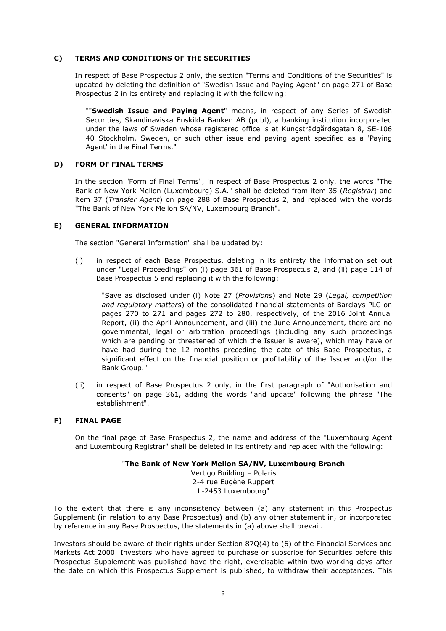#### **C) TERMS AND CONDITIONS OF THE SECURITIES**

In respect of Base Prospectus 2 only, the section "Terms and Conditions of the Securities" is updated by deleting the definition of "Swedish Issue and Paying Agent" on page 271 of Base Prospectus 2 in its entirety and replacing it with the following:

""**Swedish Issue and Paying Agent**" means, in respect of any Series of Swedish Securities, Skandinaviska Enskilda Banken AB (publ), a banking institution incorporated under the laws of Sweden whose registered office is at Kungsträdgårdsgatan 8, SE-106 40 Stockholm, Sweden, or such other issue and paying agent specified as a 'Paying Agent' in the Final Terms."

#### **D) FORM OF FINAL TERMS**

In the section "Form of Final Terms", in respect of Base Prospectus 2 only, the words "The Bank of New York Mellon (Luxembourg) S.A." shall be deleted from item 35 (*Registrar*) and item 37 (*Transfer Agent*) on page 288 of Base Prospectus 2, and replaced with the words "The Bank of New York Mellon SA/NV, Luxembourg Branch".

## **E) GENERAL INFORMATION**

The section "General Information" shall be updated by:

(i) in respect of each Base Prospectus, deleting in its entirety the information set out under "Legal Proceedings" on (i) page 361 of Base Prospectus 2, and (ii) page 114 of Base Prospectus 5 and replacing it with the following:

"Save as disclosed under (i) Note 27 (*Provisions*) and Note 29 (*Legal, competition and regulatory matters*) of the consolidated financial statements of Barclays PLC on pages 270 to 271 and pages 272 to 280, respectively, of the 2016 Joint Annual Report, (ii) the April Announcement, and (iii) the June Announcement, there are no governmental, legal or arbitration proceedings (including any such proceedings which are pending or threatened of which the Issuer is aware), which may have or have had during the 12 months preceding the date of this Base Prospectus, a significant effect on the financial position or profitability of the Issuer and/or the Bank Group."

(ii) in respect of Base Prospectus 2 only, in the first paragraph of "Authorisation and consents" on page 361, adding the words "and update" following the phrase "The establishment".

## **F) FINAL PAGE**

On the final page of Base Prospectus 2, the name and address of the "Luxembourg Agent and Luxembourg Registrar" shall be deleted in its entirety and replaced with the following:

## "**The Bank of New York Mellon SA/NV, Luxembourg Branch**

Vertigo Building – Polaris 2-4 rue Eugène Ruppert L-2453 Luxembourg"

To the extent that there is any inconsistency between (a) any statement in this Prospectus Supplement (in relation to any Base Prospectus) and (b) any other statement in, or incorporated by reference in any Base Prospectus, the statements in (a) above shall prevail.

Investors should be aware of their rights under Section 87Q(4) to (6) of the Financial Services and Markets Act 2000. Investors who have agreed to purchase or subscribe for Securities before this Prospectus Supplement was published have the right, exercisable within two working days after the date on which this Prospectus Supplement is published, to withdraw their acceptances. This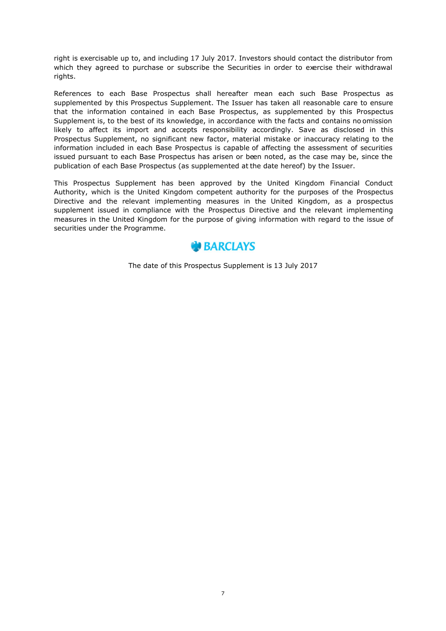right is exercisable up to, and including 17 July 2017. Investors should contact the distributor from which they agreed to purchase or subscribe the Securities in order to exercise their withdrawal rights.

References to each Base Prospectus shall hereafter mean each such Base Prospectus as supplemented by this Prospectus Supplement. The Issuer has taken all reasonable care to ensure that the information contained in each Base Prospectus, as supplemented by this Prospectus Supplement is, to the best of its knowledge, in accordance with the facts and contains no omission likely to affect its import and accepts responsibility accordingly. Save as disclosed in this Prospectus Supplement, no significant new factor, material mistake or inaccuracy relating to the information included in each Base Prospectus is capable of affecting the assessment of securities issued pursuant to each Base Prospectus has arisen or been noted, as the case may be, since the publication of each Base Prospectus (as supplemented at the date hereof) by the Issuer.

This Prospectus Supplement has been approved by the United Kingdom Financial Conduct Authority, which is the United Kingdom competent authority for the purposes of the Prospectus Directive and the relevant implementing measures in the United Kingdom, as a prospectus supplement issued in compliance with the Prospectus Directive and the relevant implementing measures in the United Kingdom for the purpose of giving information with regard to the issue of securities under the Programme.

# **W**BARCLAYS

The date of this Prospectus Supplement is 13 July 2017